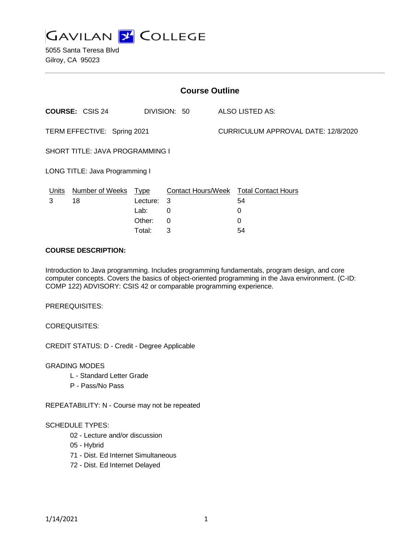

5055 Santa Teresa Blvd Gilroy, CA 95023

| <b>Course Outline</b>           |                        |             |              |                                     |                                        |
|---------------------------------|------------------------|-------------|--------------|-------------------------------------|----------------------------------------|
|                                 | <b>COURSE: CSIS 24</b> |             | DIVISION: 50 |                                     | ALSO LISTED AS:                        |
| TERM EFFECTIVE: Spring 2021     |                        |             |              | CURRICULUM APPROVAL DATE: 12/8/2020 |                                        |
| SHORT TITLE: JAVA PROGRAMMING I |                        |             |              |                                     |                                        |
| LONG TITLE: Java Programming I  |                        |             |              |                                     |                                        |
| Units                           | <b>Number of Weeks</b> | <u>Type</u> |              |                                     | Contact Hours/Week Total Contact Hours |
| 3                               | 18                     | Lecture: 3  |              |                                     | 54                                     |
|                                 |                        | Lab:        | 0            |                                     | 0                                      |
|                                 |                        | Other:      | 0            |                                     | 0                                      |
|                                 |                        | Total:      | 3            |                                     | 54                                     |

### **COURSE DESCRIPTION:**

Introduction to Java programming. Includes programming fundamentals, program design, and core computer concepts. Covers the basics of object-oriented programming in the Java environment. (C-ID: COMP 122) ADVISORY: CSIS 42 or comparable programming experience.

PREREQUISITES:

COREQUISITES:

CREDIT STATUS: D - Credit - Degree Applicable

GRADING MODES

- L Standard Letter Grade
- P Pass/No Pass

REPEATABILITY: N - Course may not be repeated

#### SCHEDULE TYPES:

- 02 Lecture and/or discussion
- 05 Hybrid
- 71 Dist. Ed Internet Simultaneous
- 72 Dist. Ed Internet Delayed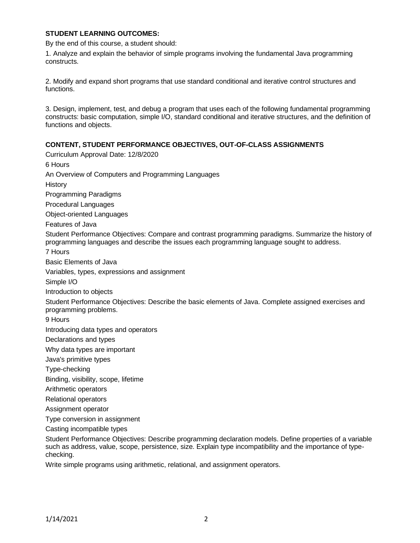### **STUDENT LEARNING OUTCOMES:**

By the end of this course, a student should:

1. Analyze and explain the behavior of simple programs involving the fundamental Java programming constructs.

2. Modify and expand short programs that use standard conditional and iterative control structures and functions.

3. Design, implement, test, and debug a program that uses each of the following fundamental programming constructs: basic computation, simple I/O, standard conditional and iterative structures, and the definition of functions and objects.

### **CONTENT, STUDENT PERFORMANCE OBJECTIVES, OUT-OF-CLASS ASSIGNMENTS**

Curriculum Approval Date: 12/8/2020 6 Hours An Overview of Computers and Programming Languages **History** Programming Paradigms Procedural Languages Object-oriented Languages Features of Java Student Performance Objectives: Compare and contrast programming paradigms. Summarize the history of programming languages and describe the issues each programming language sought to address. 7 Hours Basic Elements of Java Variables, types, expressions and assignment Simple I/O Introduction to objects Student Performance Objectives: Describe the basic elements of Java. Complete assigned exercises and programming problems. 9 Hours Introducing data types and operators Declarations and types Why data types are important Java's primitive types Type-checking Binding, visibility, scope, lifetime Arithmetic operators Relational operators Assignment operator Type conversion in assignment Casting incompatible types Student Performance Objectives: Describe programming declaration models. Define properties of a variable such as address, value, scope, persistence, size. Explain type incompatibility and the importance of typechecking.

Write simple programs using arithmetic, relational, and assignment operators.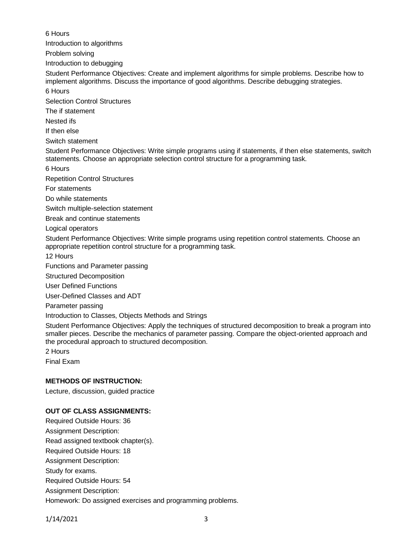6 Hours

Introduction to algorithms

Problem solving

Introduction to debugging

Student Performance Objectives: Create and implement algorithms for simple problems. Describe how to implement algorithms. Discuss the importance of good algorithms. Describe debugging strategies. 6 Hours

Selection Control Structures

The if statement

Nested ifs

If then else

Switch statement

Student Performance Objectives: Write simple programs using if statements, if then else statements, switch statements. Choose an appropriate selection control structure for a programming task.

6 Hours

Repetition Control Structures

For statements

Do while statements

Switch multiple-selection statement

Break and continue statements

Logical operators

Student Performance Objectives: Write simple programs using repetition control statements. Choose an appropriate repetition control structure for a programming task.

12 Hours

Functions and Parameter passing

Structured Decomposition

User Defined Functions

User-Defined Classes and ADT

Parameter passing

Introduction to Classes, Objects Methods and Strings

Student Performance Objectives: Apply the techniques of structured decomposition to break a program into smaller pieces. Describe the mechanics of parameter passing. Compare the object-oriented approach and the procedural approach to structured decomposition.

2 Hours

Final Exam

# **METHODS OF INSTRUCTION:**

Lecture, discussion, guided practice

# **OUT OF CLASS ASSIGNMENTS:**

Required Outside Hours: 36 Assignment Description: Read assigned textbook chapter(s). Required Outside Hours: 18 Assignment Description: Study for exams. Required Outside Hours: 54 Assignment Description: Homework: Do assigned exercises and programming problems.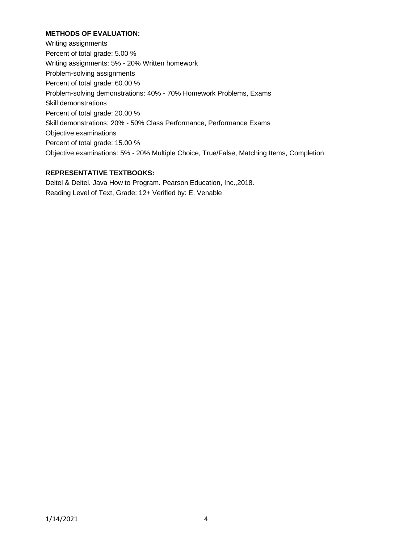## **METHODS OF EVALUATION:**

Writing assignments Percent of total grade: 5.00 % Writing assignments: 5% - 20% Written homework Problem-solving assignments Percent of total grade: 60.00 % Problem-solving demonstrations: 40% - 70% Homework Problems, Exams Skill demonstrations Percent of total grade: 20.00 % Skill demonstrations: 20% - 50% Class Performance, Performance Exams Objective examinations Percent of total grade: 15.00 % Objective examinations: 5% - 20% Multiple Choice, True/False, Matching Items, Completion

## **REPRESENTATIVE TEXTBOOKS:**

Deitel & Deitel. Java How to Program. Pearson Education, Inc.,2018. Reading Level of Text, Grade: 12+ Verified by: E. Venable